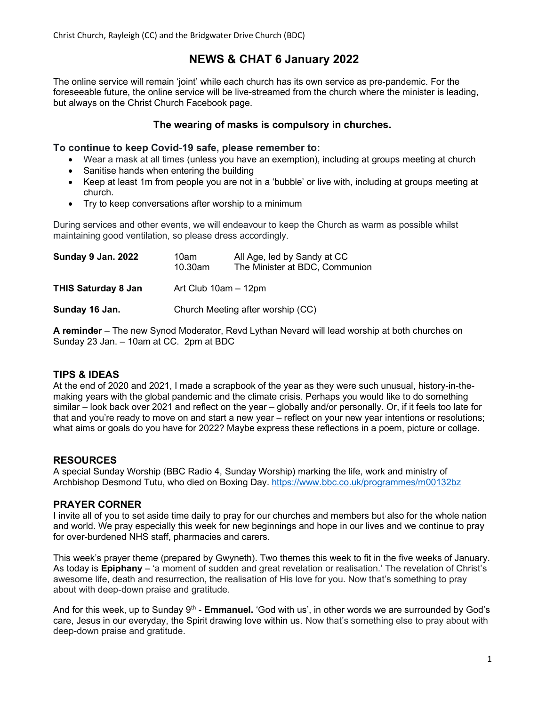Christ Church, Rayleigh (CC) and the Bridgwater Drive Church (BDC)

# NEWS & CHAT 6 January 2022

The online service will remain 'joint' while each church has its own service as pre-pandemic. For the foreseeable future, the online service will be live-streamed from the church where the minister is leading, but always on the Christ Church Facebook page.

## The wearing of masks is compulsory in churches.

#### To continue to keep Covid-19 safe, please remember to:

- Wear a mask at all times (unless you have an exemption), including at groups meeting at church
- Sanitise hands when entering the building
- Keep at least 1m from people you are not in a 'bubble' or live with, including at groups meeting at church.
- Try to keep conversations after worship to a minimum

During services and other events, we will endeavour to keep the Church as warm as possible whilst maintaining good ventilation, so please dress accordingly.

| Sunday 9 Jan. 2022         | 10am<br>$10.30$ am                | All Age, led by Sandy at CC<br>The Minister at BDC, Communion |
|----------------------------|-----------------------------------|---------------------------------------------------------------|
| <b>THIS Saturday 8 Jan</b> | Art Club 10am - 12pm              |                                                               |
| Sunday 16 Jan.             | Church Meeting after worship (CC) |                                                               |

A reminder – The new Synod Moderator, Revd Lythan Nevard will lead worship at both churches on Sunday 23 Jan. – 10am at CC. 2pm at BDC

### TIPS & IDEAS

At the end of 2020 and 2021, I made a scrapbook of the year as they were such unusual, history-in-themaking years with the global pandemic and the climate crisis. Perhaps you would like to do something similar – look back over 2021 and reflect on the year – globally and/or personally. Or, if it feels too late for that and you're ready to move on and start a new year – reflect on your new year intentions or resolutions; what aims or goals do you have for 2022? Maybe express these reflections in a poem, picture or collage.

### RESOURCES

A special Sunday Worship (BBC Radio 4, Sunday Worship) marking the life, work and ministry of Archbishop Desmond Tutu, who died on Boxing Day. https://www.bbc.co.uk/programmes/m00132bz

### PRAYER CORNER

I invite all of you to set aside time daily to pray for our churches and members but also for the whole nation and world. We pray especially this week for new beginnings and hope in our lives and we continue to pray for over-burdened NHS staff, pharmacies and carers.

This week's prayer theme (prepared by Gwyneth). Two themes this week to fit in the five weeks of January. As today is Epiphany – 'a moment of sudden and great revelation or realisation.' The revelation of Christ's awesome life, death and resurrection, the realisation of His love for you. Now that's something to pray about with deep-down praise and gratitude.

And for this week, up to Sunday 9<sup>th</sup> - **Emmanuel.** 'God with us', in other words we are surrounded by God's care, Jesus in our everyday, the Spirit drawing love within us. Now that's something else to pray about with deep-down praise and gratitude.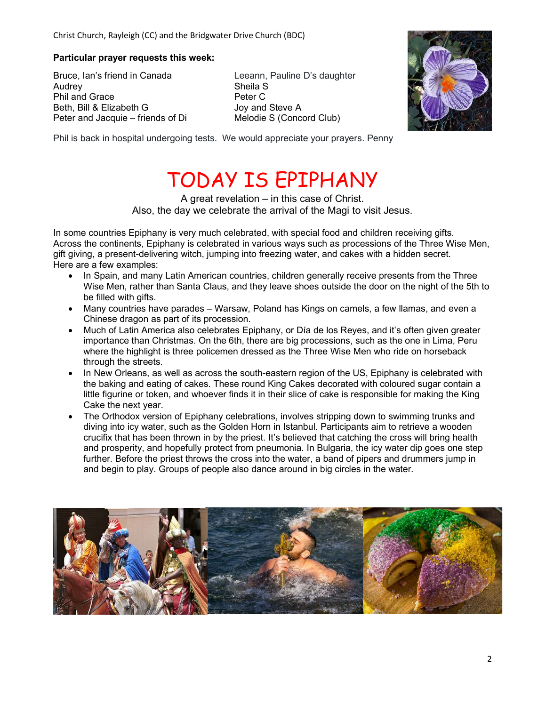#### Particular prayer requests this week:

Bruce, Ian's friend in Canada Leeann, Pauline D's daughter Audrey **Sheila S** Phil and Grace Phil and Grace Peter C Beth, Bill & Elizabeth G Joy and Steve A Peter and Jacquie – friends of Di Melodie S (Concord Club)



Phil is back in hospital undergoing tests. We would appreciate your prayers. Penny

# TODAY IS EPIPHANY

A great revelation – in this case of Christ. Also, the day we celebrate the arrival of the Magi to visit Jesus.

In some countries Epiphany is very much celebrated, with special food and children receiving gifts. Across the continents, Epiphany is celebrated in various ways such as processions of the Three Wise Men, gift giving, a present-delivering witch, jumping into freezing water, and cakes with a hidden secret. Here are a few examples:

- In Spain, and many Latin American countries, children generally receive presents from the Three Wise Men, rather than Santa Claus, and they leave shoes outside the door on the night of the 5th to be filled with gifts.
- Many countries have parades Warsaw, Poland has Kings on camels, a few llamas, and even a Chinese dragon as part of its procession.
- Much of Latin America also celebrates Epiphany, or Día de los Reyes, and it's often given greater importance than Christmas. On the 6th, there are big processions, such as the one in Lima, Peru where the highlight is three policemen dressed as the Three Wise Men who ride on horseback through the streets.
- In New Orleans, as well as across the south-eastern region of the US, Epiphany is celebrated with the baking and eating of cakes. These round King Cakes decorated with coloured sugar contain a little figurine or token, and whoever finds it in their slice of cake is responsible for making the King Cake the next year.
- The Orthodox version of Epiphany celebrations, involves stripping down to swimming trunks and diving into icy water, such as the Golden Horn in Istanbul. Participants aim to retrieve a wooden crucifix that has been thrown in by the priest. It's believed that catching the cross will bring health and prosperity, and hopefully protect from pneumonia. In Bulgaria, the icy water dip goes one step further. Before the priest throws the cross into the water, a band of pipers and drummers jump in and begin to play. Groups of people also dance around in big circles in the water.